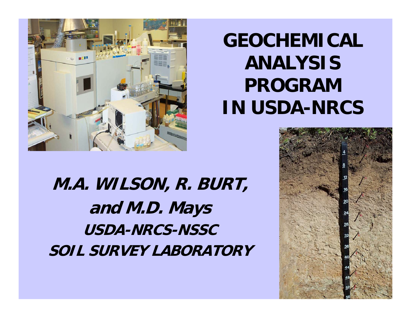

## **GEOCHEMICAL ANALYSIS PROGRAM IN USDA-NRCS**

**M.A. WILSON, R. BURT, and M.D. Mays USDA-NRCS-NSSCSOIL SURVEY LABORATORY**

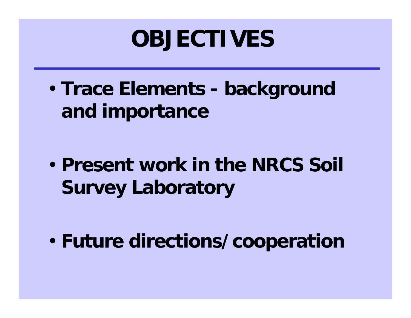## **OBJECTIVES**

• **Trace Elements - background and importance**

• **Present work in the NRCS Soil Survey Laboratory**

• **Future directions/cooperation**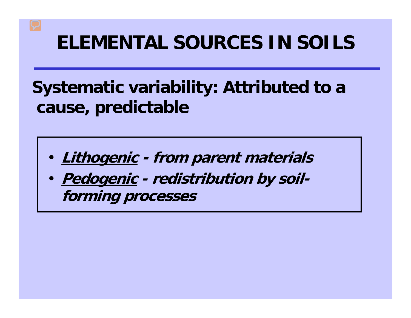### **ELEMENTAL SOURCES IN SOILS**

### **Systematic variability: Attributed to a cause, predictable**

- **Lithogenic - from parent materials**
- **Pedogenic - redistribution by soilforming processes**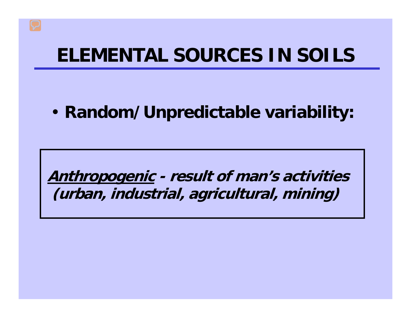### **ELEMENTAL SOURCES IN SOILS**

#### • **Random/Unpredictable variability:**

**Anthropogenic - result of man's activities (urban, industrial, agricultural, mining)**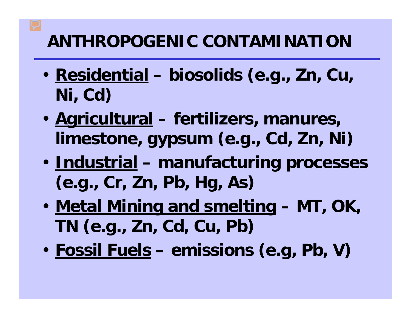### **ANTHROPOGENIC CONTAMINATION**

- **Residential biosolids (e.g., Zn, Cu, Ni, Cd)**
- **Agricultural fertilizers, manures, limestone, gypsum (e.g., Cd, Zn, Ni)**
- **Industrial manufacturing processes (e.g., Cr, Zn, Pb, Hg, As)**
- **Metal Mining and smelting – MT, OK, TN (e.g., Zn, Cd, Cu, Pb)**
- **Fossil Fuels emissions (e.g, Pb, V)**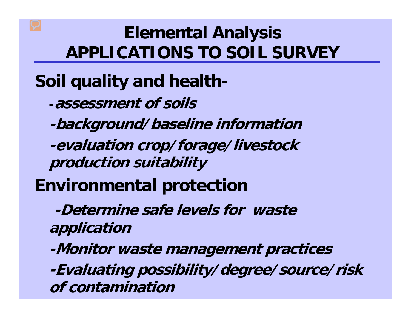### **Elemental Analysis APPLICATIONS TO SOIL SURVEY**

**Soil quality and health-**

**-assessment of soils**

**-background/baseline information**

**-evaluation crop/forage/livestock production suitability**

**Environmental protection**

**-Determine safe levels for waste application**

**-Monitor waste management practices**

**-Evaluating possibility/degree/source/risk of contamination**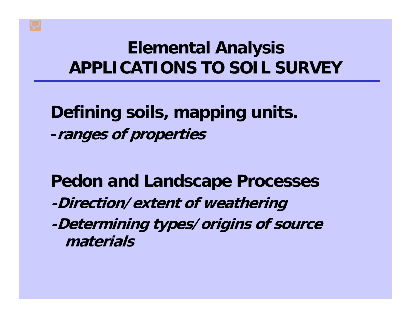### **Elemental Analysis APPLICATIONS TO SOIL SURVEY**

**Defining soils, mapping units. -ranges of properties**

**Pedon and Landscape Processes -Direction/extent of weathering -Determining types/origins of source materials**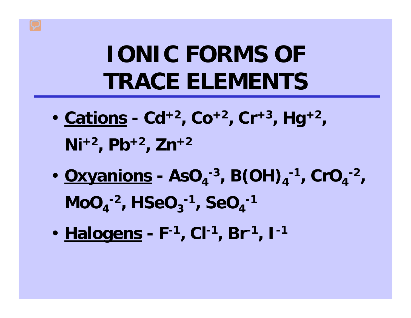# **IONIC FORMS OF TRACE ELEMENTS**

- **Cations - Cd+2, Co+2, Cr+3, Hg+2, Ni+2, Pb+2, Zn+2**
- <u>Oxyanions</u> AsO<sub>4</sub><sup>-3</sup>, B(OH)<sub>4</sub><sup>-1</sup>, CrO<sub>4</sub><sup>-2</sup>,  $MO_{4}^{-2}$ ,  $HSeq_{3}^{-1}$ ,  $SeO_{4}^{-1}$
- **Halogens - F-1, Cl-1, Br-1, I-1**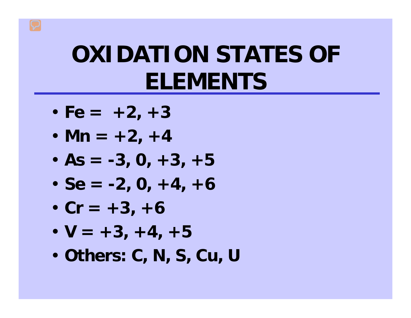# **OXIDATION STATES OF ELEMENTS**

- $\cdot$  Fe =  $+2$ ,  $+3$
- **Mn = +2, +4**
- $\cdot$  As =  $-3$ , 0,  $+3$ ,  $+5$
- $\cdot$  Se =  $-2$ , 0,  $+4$ ,  $+6$
- $\cdot$  Cr =  $+3$ ,  $+6$
- $\cdot$  V =  $+3$ ,  $+4$ ,  $+5$
- **Others: C, N, S, Cu, U**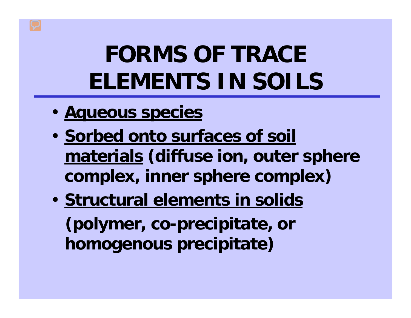# **FORMS OF TRACE ELEMENTS IN SOILS**

- **Aqueous species**
- **Sorbed onto surfaces of soil materials (diffuse ion, outer sphere complex, inner sphere complex)**
- **Structural elements in solids (polymer, co-precipitate, or homogenous precipitate)**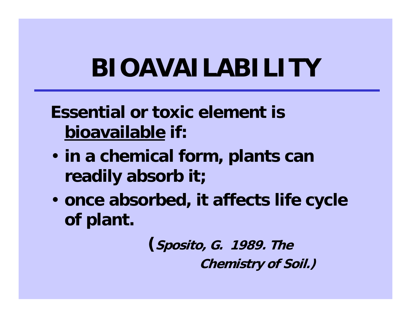# **BIOAVAILABILITY**

### **Essential or toxic element is bioavailable if:**

- **in a chemical form, plants can readily absorb it;**
- **once absorbed, it affects life cycle of plant.**

**(Sposito, G. 1989. The Chemistry of Soil.)**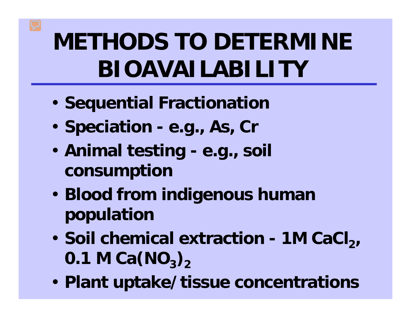# **METHODS TO DETERMINE BIOAVAILABILITY**

- **Sequential Fractionation**
- **Speciation e.g., As, Cr**
- **Animal testing e.g., soil consumption**
- **Blood from indigenous human population**
- Soil chemical extraction 1M CaCl<sub>2</sub> **0.1 M Ca(NO<sub>3</sub>)**<sub>2</sub>
- **Plant uptake/tissue concentrations**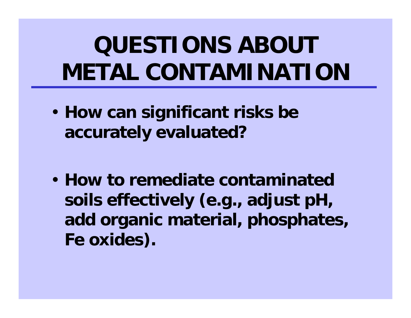# **QUESTIONS ABOUT METAL CONTAMINATION**

• **How can significant risks be accurately evaluated?**

• **How to remediate contaminated soils effectively (e.g., adjust pH, add organic material, phosphates, Fe oxides).**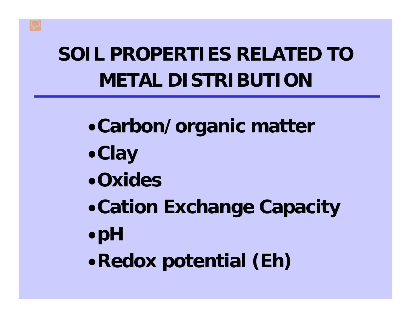## **SOIL PROPERTIES RELATED TO METAL DISTRIBUTION**

- •**Carbon/organic matter**
- •**Clay**
- •**Oxides**
- •**Cation Exchange Capacity**
- •**pH**
- •**Redox potential (Eh)**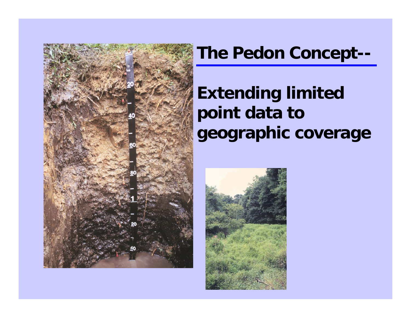

#### **The Pedon Concept--**

### **Extending limited point data to geographic coverage**

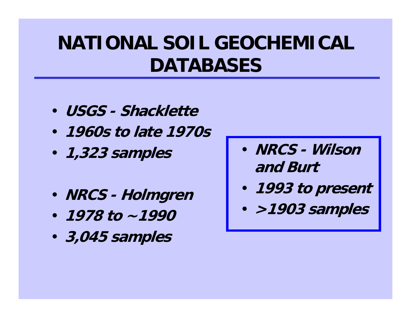## **NATIONAL SOIL GEOCHEMICAL DATABASES**

- **USGS - Shacklette**
- **1960s to late 1970s**
- **1,323 samples**
- **NRCS - Holmgren**
- **1978 to ~1990**
- **3,045 samples**
- **NRCS - Wilson and Burt**
- **1993 to present**
- **>1903 samples**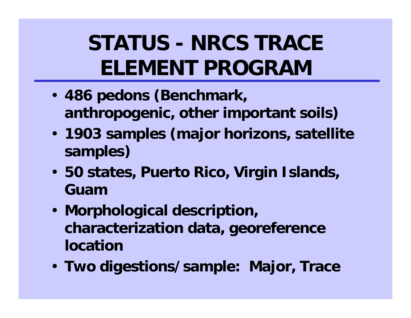## **STATUS - NRCS TRACE ELEMENT PROGRAM**

- **486 pedons (Benchmark, anthropogenic, other important soils)**
- **1903 samples (major horizons, satellite samples)**
- **50 states, Puerto Rico, Virgin Islands, Guam**
- **Morphological description, characterization data, georeference location**
- **Two digestions/sample: Major, Trace**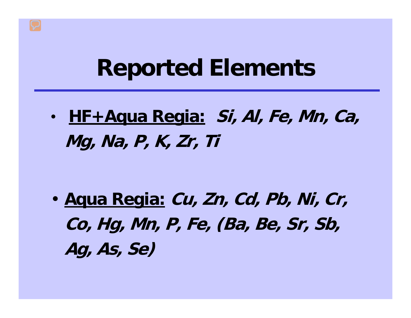## **Reported Elements**

• **HF+Aqua Regia: Si, Al, Fe, Mn, Ca, Mg, Na, P, K, Zr, Ti**

• **Aqua Regia: Cu, Zn, Cd, Pb, Ni, Cr, Co, Hg, Mn, P, Fe, (Ba, Be, Sr, Sb, Ag, As, Se)**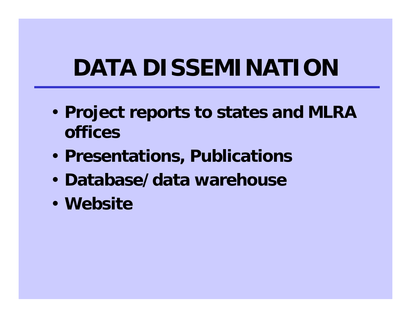# **DATA DISSEMINATION**

- **Project reports to states and MLRA offices**
- **Presentations, Publications**
- **Database/data warehouse**
- **Website**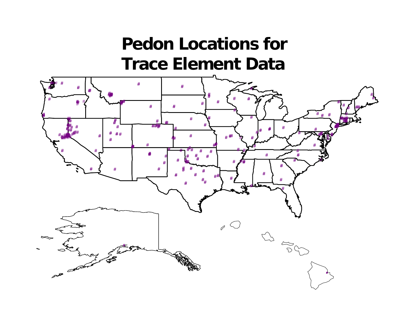### **Pedon Locations for Trace Element Data**

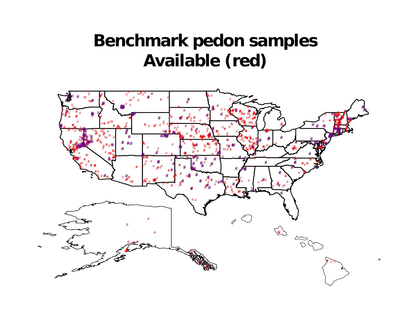### **Benchmark pedon samples Available (red)**

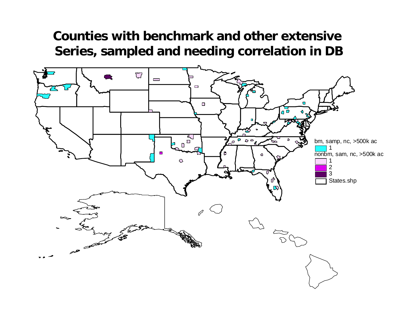#### **Counties with benchmark and other extensive Series, sampled and needing correlation in DB**

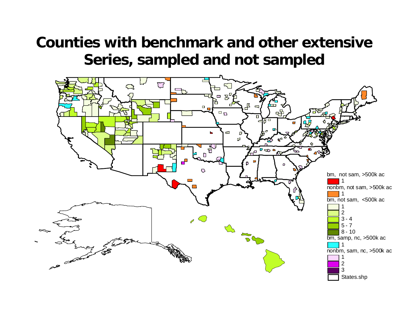#### **Counties with benchmark and other extensive Series, sampled and not sampled**

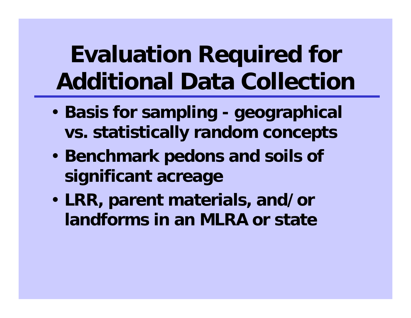# **Evaluation Required for Additional Data Collection**

- **Basis for sampling geographical vs. statistically random concepts**
- **Benchmark pedons and soils of significant acreage**
- **LRR, parent materials, and/or landforms in an MLRA or state**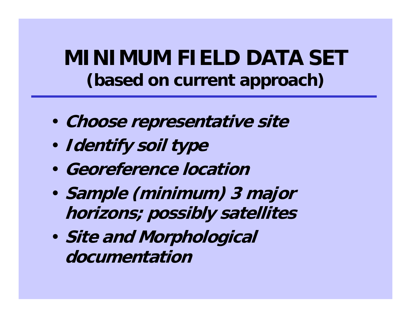**MINIMUM FIELD DATA SET (based on current approach)**

- **Choose representative site**
- **Identify soil type**
- **Georeference location**
- **Sample (minimum) 3 major horizons; possibly satellites**
- **Site and Morphological documentation**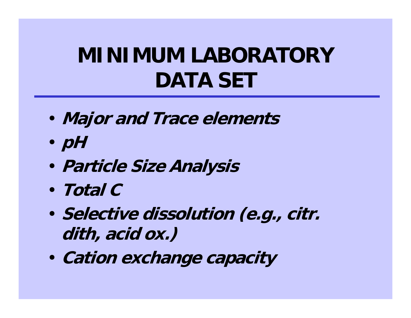## **MINIMUM LABORATORY DATA SET**

- **Major and Trace elements**
- **pH**
- **Particle Size Analysis**
- **Total C**
- **Selective dissolution (e.g., citr. dith, acid ox.)**
- **Cation exchange capacity**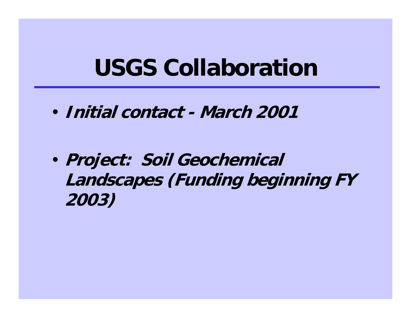## **USGS Collaboration**

• **Initial contact - March 2001**

• **Project: Soil Geochemical Landscapes (Funding beginning FY 2003)**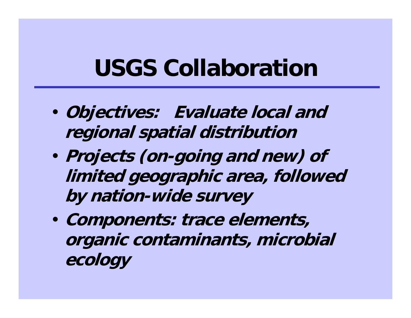## **USGS Collaboration**

- **Objectives: Evaluate local and regional spatial distribution**
- **Projects (on-going and new) of limited geographic area, followed by nation-wide survey**
- **Components: trace elements, organic contaminants, microbial ecology**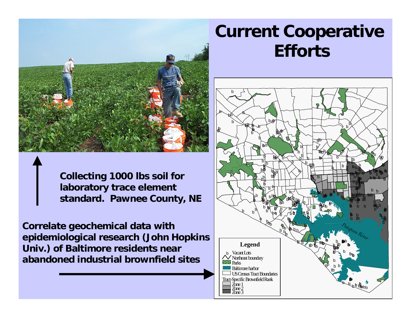

**Collecting 1000 lbs soil for laboratory trace element standard. Pawnee County, NE**

**Correlate geochemical data with epidemiological research (John Hopkins Univ.) of Baltimore residents near abandoned industrial brownfield sites**

### **Current Cooperative Efforts**

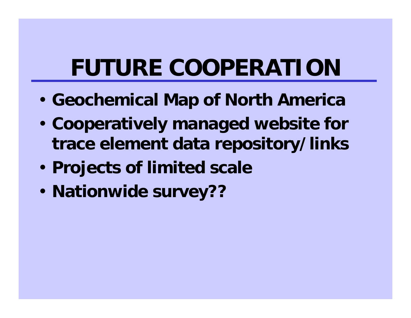# **FUTURE COOPERATION**

- **Geochemical Map of North America**
- **Cooperatively managed website for trace element data repository/links**
- **Projects of limited scale**
- **Nationwide survey??**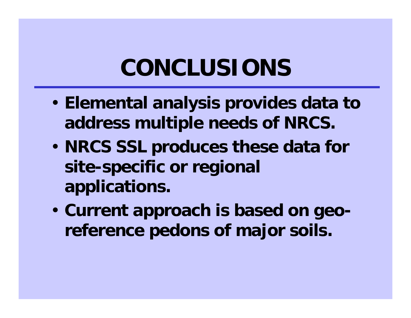## **CONCLUSIONS**

- **Elemental analysis provides data to address multiple needs of NRCS.**
- **NRCS SSL produces these data for site-specific or regional applications.**
- **Current approach is based on georeference pedons of major soils.**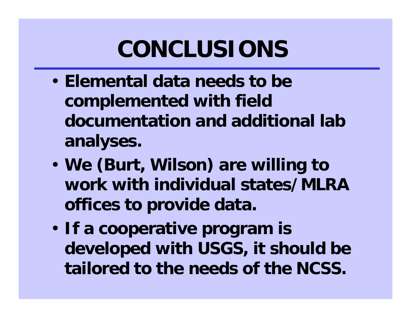# **CONCLUSIONS**

- **Elemental data needs to be complemented with field documentation and additional lab analyses.**
- **We (Burt, Wilson) are willing to work with individual states/MLRA offices to provide data.**
- **If a cooperative program is developed with USGS, it should be tailored to the needs of the NCSS.**